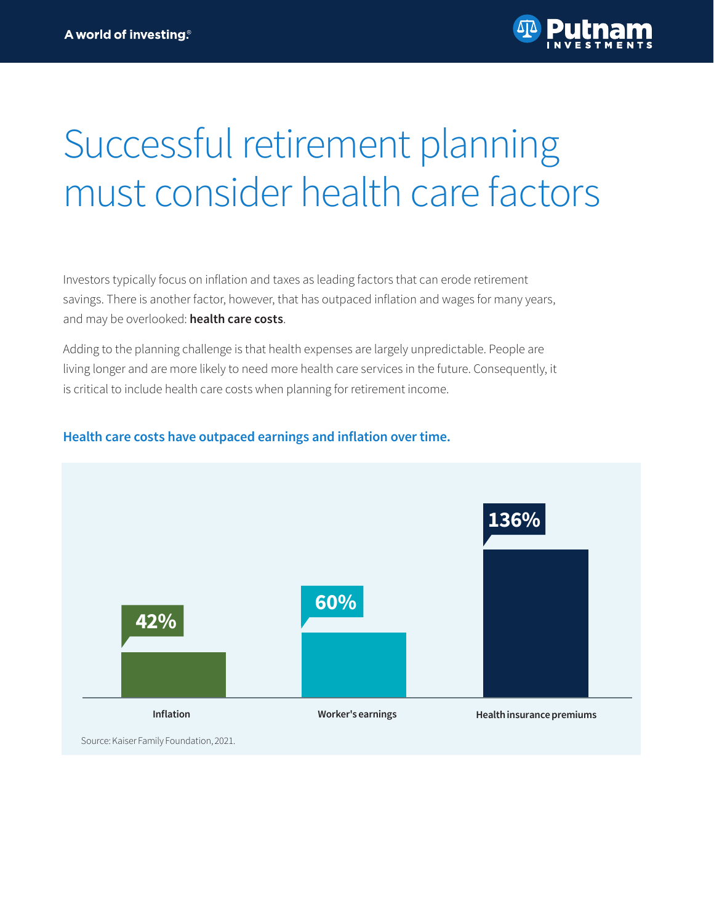# Successful retirement planning must consider health care factors

Investors typically focus on inflation and taxes as leading factors that can erode retirement savings. There is another factor, however, that has outpaced inflation and wages for many years, and may be overlooked: **health care costs**.

Adding to the planning challenge is that health expenses are largely unpredictable. People are living longer and are more likely to need more health care services in the future. Consequently, it is critical to include health care costs when planning for retirement income.



## **Health care costs have outpaced earnings and inflation over time.**

Source: Kaiser Family Foundation, 2021.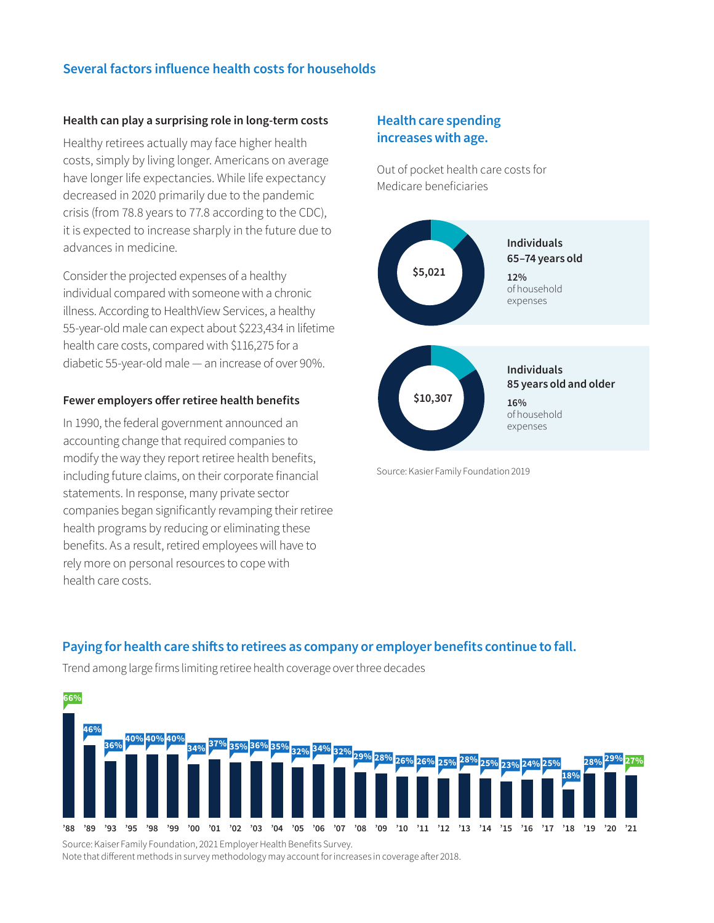## **Several factors influence health costs for households**

#### **Health can play a surprising role in long-term costs**

Healthy retirees actually may face higher health costs, simply by living longer. Americans on average have longer life expectancies. While life expectancy decreased in 2020 primarily due to the pandemic crisis (from 78.8 years to 77.8 according to the CDC), it is expected to increase sharply in the future due to advances in medicine.

Consider the projected expenses of a healthy individual compared with someone with a chronic illness. According to HealthView Services, a healthy 55-year-old male can expect about \$223,434 in lifetime health care costs, compared with \$116,275 for a diabetic 55-year-old male — an increase of over 90%.

#### **Fewer employers offer retiree health benefits**

In 1990, the federal government announced an accounting change that required companies to modify the way they report retiree health benefits, including future claims, on their corporate financial statements. In response, many private sector companies began significantly revamping their retiree health programs by reducing or eliminating these benefits. As a result, retired employees will have to rely more on personal resources to cope with health care costs.

## **Health care spending increases with age.**

Out of pocket health care costs for Medicare beneficiaries



Source: Kasier Family Foundation 2019

## **Paying for health care shifts to retirees as company or employer benefits continue to fall.**

Trend among large firms limiting retiree health coverage over three decades



Source: Kaiser Family Foundation, 2021 Employer Health Benefits Survey. Note that different methods in survey methodology may account for increases in coverage after 2018.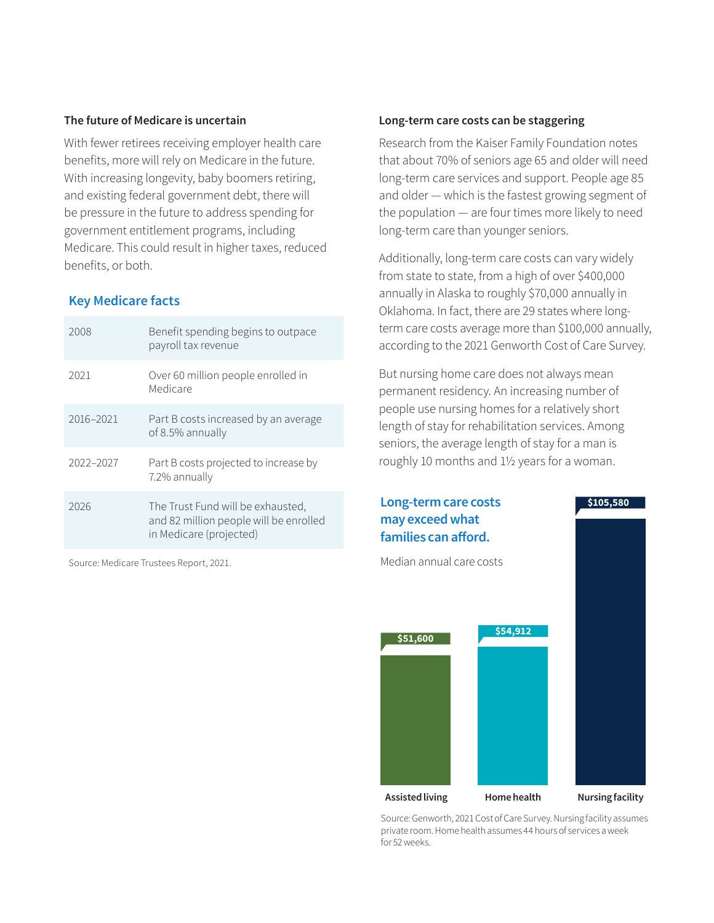#### **The future of Medicare is uncertain**

With fewer retirees receiving employer health care benefits, more will rely on Medicare in the future. With increasing longevity, baby boomers retiring, and existing federal government debt, there will be pressure in the future to address spending for government entitlement programs, including Medicare. This could result in higher taxes, reduced benefits, or both.

#### **Key Medicare facts**

| 2008      | Benefit spending begins to outpace<br>payroll tax revenue                                              |
|-----------|--------------------------------------------------------------------------------------------------------|
| 2021      | Over 60 million people enrolled in<br>Medicare                                                         |
| 2016-2021 | Part B costs increased by an average<br>of 8.5% annually                                               |
| 2022-2027 | Part B costs projected to increase by<br>7.2% annually                                                 |
| 2026      | The Trust Fund will be exhausted,<br>and 82 million people will be enrolled<br>in Medicare (projected) |

Source: Medicare Trustees Report, 2021.

#### **Long-term care costs can be staggering**

Research from the Kaiser Family Foundation notes that about 70% of seniors age 65 and older will need long-term care services and support. People age 85 and older — which is the fastest growing segment of the population — are four times more likely to need long-term care than younger seniors.

Additionally, long-term care costs can vary widely from state to state, from a high of over \$400,000 annually in Alaska to roughly \$70,000 annually in Oklahoma. In fact, there are 29 states where longterm care costs average more than \$100,000 annually, according to the 2021 Genworth Cost of Care Survey.

But nursing home care does not always mean permanent residency. An increasing number of people use nursing homes for a relatively short length of stay for rehabilitation services. Among seniors, the average length of stay for a man is roughly 10 months and 11/2 years for a woman.



Source: Genworth, 2021 Cost of Care Survey. Nursing facility assumes private room. Home health assumes 44 hours of services a week for 52 weeks.